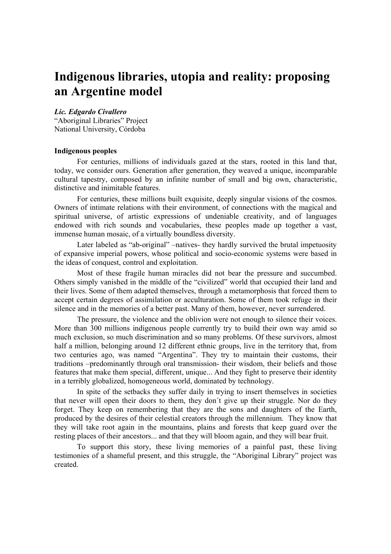# **Indigenous libraries, utopia and reality: proposing an Argentine model**

## *Lic. Edgardo Civallero*

"Aboriginal Libraries" Project National University, Córdoba

## **Indigenous peoples**

For centuries, millions of individuals gazed at the stars, rooted in this land that, today, we consider ours. Generation after generation, they weaved a unique, incomparable cultural tapestry, composed by an infinite number of small and big own, characteristic, distinctive and inimitable features.

For centuries, these millions built exquisite, deeply singular visions of the cosmos. Owners of intimate relations with their environment, of connections with the magical and spiritual universe, of artistic expressions of undeniable creativity, and of languages endowed with rich sounds and vocabularies, these peoples made up together a vast, immense human mosaic, of a virtually boundless diversity.

Later labeled as "ab-original" –natives- they hardly survived the brutal impetuosity of expansive imperial powers, whose political and socio-economic systems were based in the ideas of conquest, control and exploitation.

Most of these fragile human miracles did not bear the pressure and succumbed. Others simply vanished in the middle of the "civilized" world that occupied their land and their lives. Some of them adapted themselves, through a metamorphosis that forced them to accept certain degrees of assimilation or acculturation. Some of them took refuge in their silence and in the memories of a better past. Many of them, however, never surrendered.

The pressure, the violence and the oblivion were not enough to silence their voices. More than 300 millions indigenous people currently try to build their own way amid so much exclusion, so much discrimination and so many problems. Of these survivors, almost half a million, belonging around 12 different ethnic groups, live in the territory that, from two centuries ago, was named "Argentina". They try to maintain their customs, their traditions –predominantly through oral transmission- their wisdom, their beliefs and those features that make them special, different, unique... And they fight to preserve their identity in a terribly globalized, homogeneous world, dominated by technology.

In spite of the setbacks they suffer daily in trying to insert themselves in societies that never will open their doors to them, they don´t give up their struggle. Nor do they forget. They keep on remembering that they are the sons and daughters of the Earth, produced by the desires of their celestial creators through the millennium. They know that they will take root again in the mountains, plains and forests that keep guard over the resting places of their ancestors... and that they will bloom again, and they will bear fruit.

To support this story, these living memories of a painful past, these living testimonies of a shameful present, and this struggle, the "Aboriginal Library" project was created.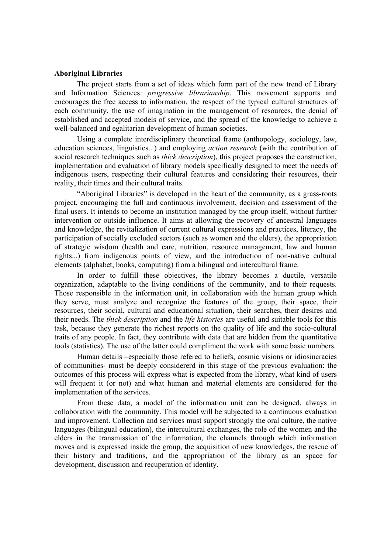### **Aboriginal Libraries**

The project starts from a set of ideas which form part of the new trend of Library and Information Sciences: *progressive librarianship*. This movement supports and encourages the free access to information, the respect of the typical cultural structures of each community, the use of imagination in the management of resources, the denial of established and accepted models of service, and the spread of the knowledge to achieve a well-balanced and egalitarian development of human societies.

Using a complete interdisciplinary theoretical frame (anthopology, sociology, law, education sciences, linguistics...) and employing *action research* (with the contribution of social research techniques such as *thick description*), this project proposes the construction, implementation and evaluation of library models specifically designed to meet the needs of indigenous users, respecting their cultural features and considering their resources, their reality, their times and their cultural traits.

"Aboriginal Libraries" is developed in the heart of the community, as a grass-roots project, encouraging the full and continuous involvement, decision and assessment of the final users. It intends to become an institution managed by the group itself, without further intervention or outside influence. It aims at allowing the recovery of ancestral languages and knowledge, the revitalization of current cultural expressions and practices, literacy, the participation of socially excluded sectors (such as women and the elders), the appropriation of strategic wisdom (health and care, nutrition, resource management, law and human rights...) from indigenous points of view, and the introduction of non-native cultural elements (alphabet, books, computing) from a bilingual and intercultural frame.

In order to fulfill these objectives, the library becomes a ductile, versatile organization, adaptable to the living conditions of the community, and to their requests. Those responsible in the information unit, in collaboration with the human group which they serve, must analyze and recognize the features of the group, their space, their resources, their social, cultural and educational situation, their searches, their desires and their needs. The *thick description* and the *life histories* are useful and suitable tools for this task, because they generate the richest reports on the quality of life and the socio-cultural traits of any people. In fact, they contribute with data that are hidden from the quantitative tools (statistics). The use of the latter could compliment the work with some basic numbers.

Human details –especially those refered to beliefs, cosmic visions or idiosincracies of communities- must be deeply considererd in this stage of the previous evaluation: the outcomes of this process will express what is expected from the library, what kind of users will frequent it (or not) and what human and material elements are considered for the implementation of the services.

From these data, a model of the information unit can be designed, always in collaboration with the community. This model will be subjected to a continuous evaluation and improvement. Collection and services must support strongly the oral culture, the native languages (bilingual education), the intercultural exchanges, the role of the women and the elders in the transmission of the information, the channels through which information moves and is expressed inside the group, the acquisition of new knowledges, the rescue of their history and traditions, and the appropriation of the library as an space for development, discussion and recuperation of identity.